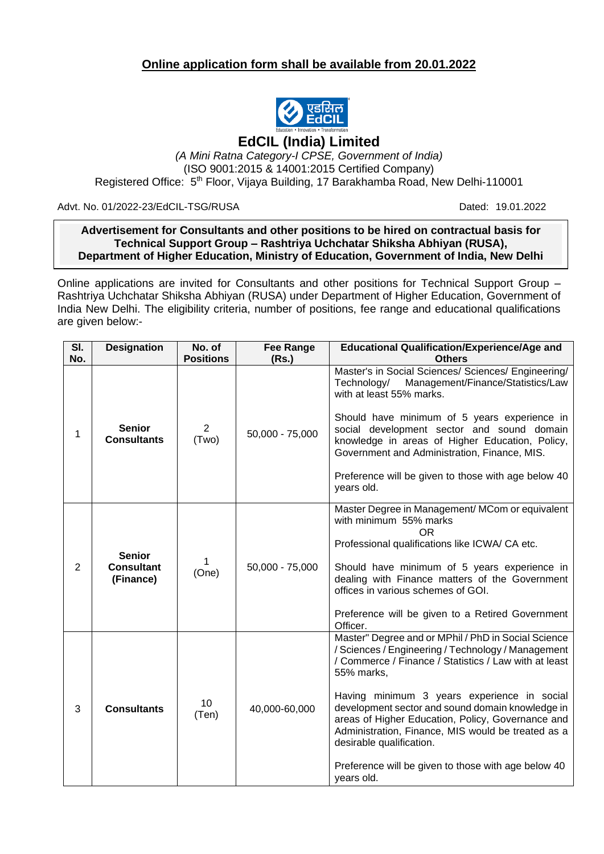## **Online application form shall be available from 20.01.2022**



## **EdCIL (India) Limited**

*(A Mini Ratna Category-I CPSE, Government of India)* (ISO 9001:2015 & 14001:2015 Certified Company) Registered Office: 5<sup>th</sup> Floor, Vijaya Building, 17 Barakhamba Road, New Delhi-110001

Advt. No. 01/2022-23/EdCIL-TSG/RUSA Dated: 19.01.2022

## $\overline{\phantom{a}}$ **Advertisement for Consultants and other positions to be hired on contractual basis for Technical Support Group – Rashtriya Uchchatar Shiksha Abhiyan (RUSA), Department of Higher Education, Ministry of Education, Government of India, New Delhi**

Online applications are invited for Consultants and other positions for Technical Support Group – Rashtriya Uchchatar Shiksha Abhiyan (RUSA) under Department of Higher Education, Government of India New Delhi. The eligibility criteria, number of positions, fee range and educational qualifications are given below:-

| SI.<br>No.     | <b>Designation</b>                              | No. of<br><b>Positions</b> | <b>Fee Range</b><br>(Rs.) | <b>Educational Qualification/Experience/Age and</b><br><b>Others</b>                                                                                                                                                                                                                                                                                                                                                                                                                            |
|----------------|-------------------------------------------------|----------------------------|---------------------------|-------------------------------------------------------------------------------------------------------------------------------------------------------------------------------------------------------------------------------------------------------------------------------------------------------------------------------------------------------------------------------------------------------------------------------------------------------------------------------------------------|
| 1              | <b>Senior</b><br><b>Consultants</b>             | 2<br>(Two)                 | $50,000 - 75,000$         | Master's in Social Sciences/ Sciences/ Engineering/<br>Management/Finance/Statistics/Law<br>Technology/<br>with at least 55% marks.<br>Should have minimum of 5 years experience in<br>social development sector and sound domain<br>knowledge in areas of Higher Education, Policy,<br>Government and Administration, Finance, MIS.<br>Preference will be given to those with age below 40<br>years old.                                                                                       |
| $\overline{2}$ | <b>Senior</b><br><b>Consultant</b><br>(Finance) | 1<br>(One)                 | 50,000 - 75,000           | Master Degree in Management/ MCom or equivalent<br>with minimum 55% marks<br>OR.<br>Professional qualifications like ICWA/ CA etc.<br>Should have minimum of 5 years experience in<br>dealing with Finance matters of the Government<br>offices in various schemes of GOI.<br>Preference will be given to a Retired Government<br>Officer.                                                                                                                                                      |
| 3              | <b>Consultants</b>                              | 10<br>(Ten)                | 40,000-60,000             | Master" Degree and or MPhil / PhD in Social Science<br>/ Sciences / Engineering / Technology / Management<br>/ Commerce / Finance / Statistics / Law with at least<br>55% marks,<br>Having minimum 3 years experience in social<br>development sector and sound domain knowledge in<br>areas of Higher Education, Policy, Governance and<br>Administration, Finance, MIS would be treated as a<br>desirable qualification.<br>Preference will be given to those with age below 40<br>years old. |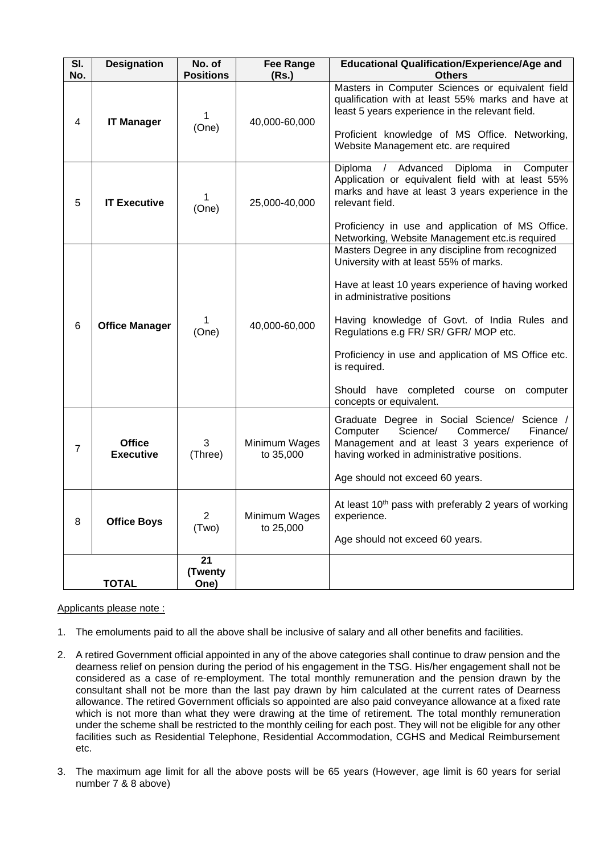| SI.<br>No.     | <b>Designation</b>                | No. of<br><b>Positions</b> | <b>Fee Range</b><br>(Rs.)  | <b>Educational Qualification/Experience/Age and</b><br><b>Others</b>                                                                                                                                                                                                                                                                                                                                                    |
|----------------|-----------------------------------|----------------------------|----------------------------|-------------------------------------------------------------------------------------------------------------------------------------------------------------------------------------------------------------------------------------------------------------------------------------------------------------------------------------------------------------------------------------------------------------------------|
| 4              | <b>IT Manager</b>                 | (One)                      | 40,000-60,000              | Masters in Computer Sciences or equivalent field<br>qualification with at least 55% marks and have at<br>least 5 years experience in the relevant field.<br>Proficient knowledge of MS Office. Networking,<br>Website Management etc. are required                                                                                                                                                                      |
| 5              | <b>IT Executive</b>               | 1<br>(One)                 | 25,000-40,000              | / Advanced<br>Diploma<br>Computer<br>Diploma<br>in<br>Application or equivalent field with at least 55%<br>marks and have at least 3 years experience in the<br>relevant field.<br>Proficiency in use and application of MS Office.<br>Networking, Website Management etc.is required                                                                                                                                   |
| 6              | <b>Office Manager</b>             | (One)                      | 40,000-60,000              | Masters Degree in any discipline from recognized<br>University with at least 55% of marks.<br>Have at least 10 years experience of having worked<br>in administrative positions<br>Having knowledge of Govt. of India Rules and<br>Regulations e.g FR/ SR/ GFR/ MOP etc.<br>Proficiency in use and application of MS Office etc.<br>is required.<br>Should have completed course on computer<br>concepts or equivalent. |
| $\overline{7}$ | <b>Office</b><br><b>Executive</b> | 3<br>(Three)               | Minimum Wages<br>to 35,000 | Graduate Degree in Social Science/ Science /<br>Computer<br>Science/<br>Commerce/<br>Finance/<br>Management and at least 3 years experience of<br>having worked in administrative positions.<br>Age should not exceed 60 years.                                                                                                                                                                                         |
| 8              | <b>Office Boys</b>                | $\overline{2}$<br>(Two)    | Minimum Wages<br>to 25,000 | At least 10 <sup>th</sup> pass with preferably 2 years of working<br>experience.<br>Age should not exceed 60 years.                                                                                                                                                                                                                                                                                                     |
| <b>TOTAL</b>   |                                   | 21<br>(Twenty<br>One)      |                            |                                                                                                                                                                                                                                                                                                                                                                                                                         |

Applicants please note :

- 1. The emoluments paid to all the above shall be inclusive of salary and all other benefits and facilities.
- 2. A retired Government official appointed in any of the above categories shall continue to draw pension and the dearness relief on pension during the period of his engagement in the TSG. His/her engagement shall not be considered as a case of re-employment. The total monthly remuneration and the pension drawn by the consultant shall not be more than the last pay drawn by him calculated at the current rates of Dearness allowance. The retired Government officials so appointed are also paid conveyance allowance at a fixed rate which is not more than what they were drawing at the time of retirement. The total monthly remuneration under the scheme shall be restricted to the monthly ceiling for each post. They will not be eligible for any other facilities such as Residential Telephone, Residential Accommodation, CGHS and Medical Reimbursement etc.
- 3. The maximum age limit for all the above posts will be 65 years (However, age limit is 60 years for serial number 7 & 8 above)